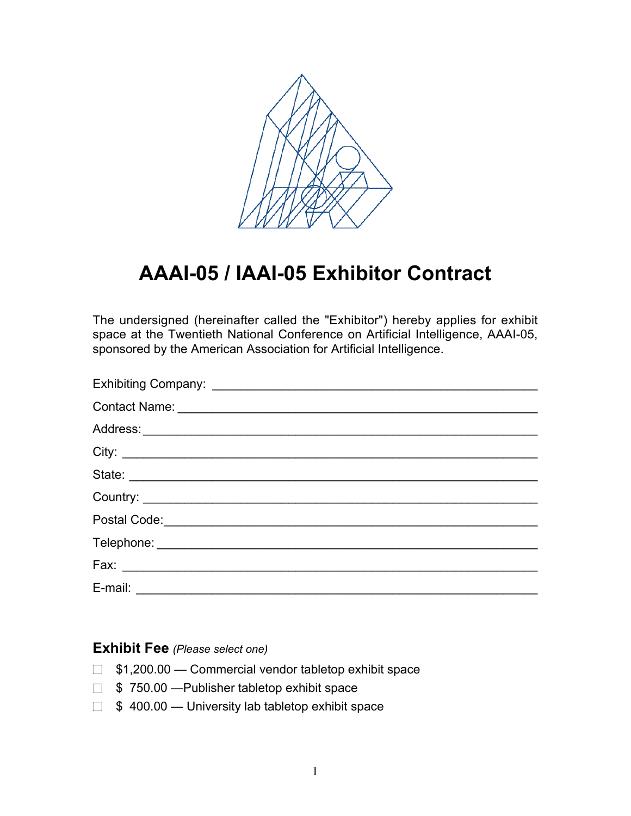

## **AAAI-05 / IAAI-05 Exhibitor Contract**

The undersigned (hereinafter called the "Exhibitor") hereby applies for exhibit space at the Twentieth National Conference on Artificial Intelligence, AAAI-05, sponsored by the American Association for Artificial Intelligence.

| Contact Name: 2008 Contact Name: 2008 Contact Name: 2008 Contact Name: 2008 Contact Name: 2008 Contact Name: 2008 Contact Name: 2008 Contact Name: 2008 Contact Name: 2008 Contact Name: 2008 Contact Name: 2008 Contact Name: |
|--------------------------------------------------------------------------------------------------------------------------------------------------------------------------------------------------------------------------------|
|                                                                                                                                                                                                                                |
|                                                                                                                                                                                                                                |
|                                                                                                                                                                                                                                |
|                                                                                                                                                                                                                                |
|                                                                                                                                                                                                                                |
|                                                                                                                                                                                                                                |
|                                                                                                                                                                                                                                |
|                                                                                                                                                                                                                                |

## **Exhibit Fee** *(Please select one)*

- $\Box$  \$1,200.00 Commercial vendor tabletop exhibit space
- \$ 750.00 —Publisher tabletop exhibit space
- $\Box$  \$ 400.00 University lab tabletop exhibit space